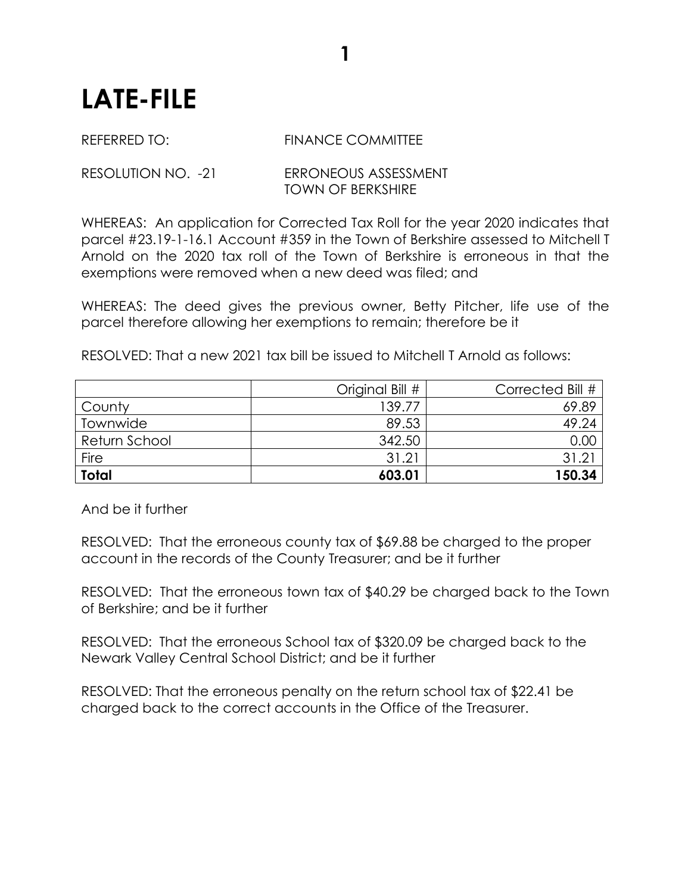## **LATE-FILE**

## REFERRED TO: FINANCE COMMITTEE

**1**

## RESOLUTION NO. -21 ERRONEOUS ASSESSMENT TOWN OF BERKSHIRE

WHEREAS: An application for Corrected Tax Roll for the year 2020 indicates that parcel #23.19-1-16.1 Account #359 in the Town of Berkshire assessed to Mitchell T Arnold on the 2020 tax roll of the Town of Berkshire is erroneous in that the exemptions were removed when a new deed was filed; and

WHEREAS: The deed gives the previous owner, Betty Pitcher, life use of the parcel therefore allowing her exemptions to remain; therefore be it

RESOLVED: That a new 2021 tax bill be issued to Mitchell T Arnold as follows:

|               | Original Bill # | Corrected Bill # |
|---------------|-----------------|------------------|
| County        | 139.77          | 69.89            |
| Townwide      | 89.53           | 49.24            |
| Return School | 342.50          | 0.00             |
| Fire          | 31.21           | 31.21            |
| <b>Total</b>  | 603.01          | 150.34           |

And be it further

RESOLVED: That the erroneous county tax of \$69.88 be charged to the proper account in the records of the County Treasurer; and be it further

RESOLVED: That the erroneous town tax of \$40.29 be charged back to the Town of Berkshire; and be it further

RESOLVED: That the erroneous School tax of \$320.09 be charged back to the Newark Valley Central School District; and be it further

RESOLVED: That the erroneous penalty on the return school tax of \$22.41 be charged back to the correct accounts in the Office of the Treasurer.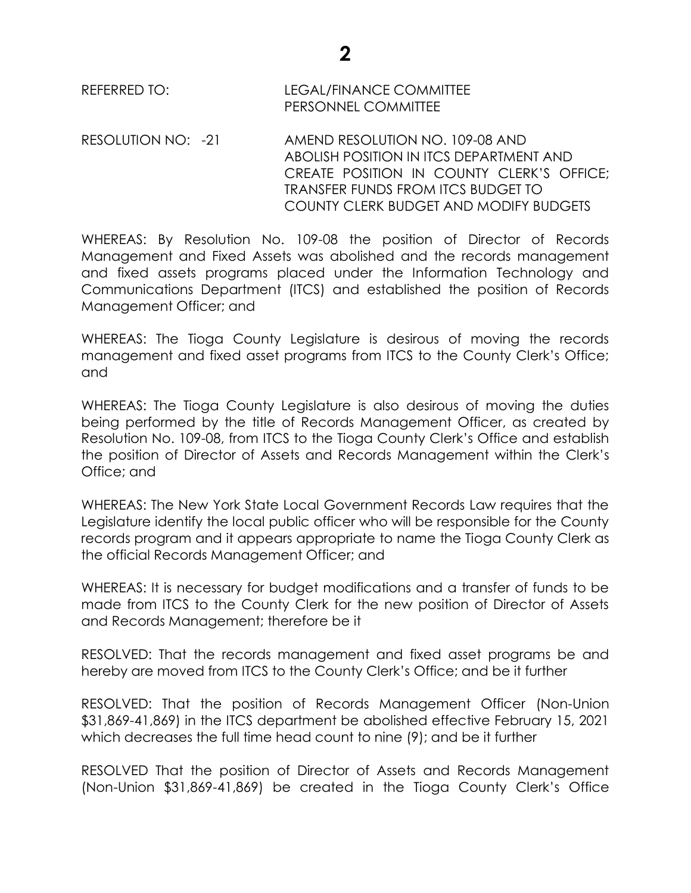RESOLUTION NO: -21 AMEND RESOLUTION NO. 109-08 AND ABOLISH POSITION IN ITCS DEPARTMENT AND CREATE POSITION IN COUNTY CLERK'S OFFICE; TRANSFER FUNDS FROM ITCS BUDGET TO COUNTY CLERK BUDGET AND MODIFY BUDGETS

WHEREAS: By Resolution No. 109-08 the position of Director of Records Management and Fixed Assets was abolished and the records management and fixed assets programs placed under the Information Technology and Communications Department (ITCS) and established the position of Records Management Officer; and

WHEREAS: The Tioga County Legislature is desirous of moving the records management and fixed asset programs from ITCS to the County Clerk's Office; and

WHEREAS: The Tioga County Legislature is also desirous of moving the duties being performed by the title of Records Management Officer, as created by Resolution No. 109-08, from ITCS to the Tioga County Clerk's Office and establish the position of Director of Assets and Records Management within the Clerk's Office; and

WHEREAS: The New York State Local Government Records Law requires that the Legislature identify the local public officer who will be responsible for the County records program and it appears appropriate to name the Tioga County Clerk as the official Records Management Officer; and

WHEREAS: It is necessary for budget modifications and a transfer of funds to be made from ITCS to the County Clerk for the new position of Director of Assets and Records Management; therefore be it

RESOLVED: That the records management and fixed asset programs be and hereby are moved from ITCS to the County Clerk's Office; and be it further

RESOLVED: That the position of Records Management Officer (Non-Union \$31,869-41,869) in the ITCS department be abolished effective February 15, 2021 which decreases the full time head count to nine (9); and be it further

RESOLVED That the position of Director of Assets and Records Management (Non-Union \$31,869-41,869) be created in the Tioga County Clerk's Office